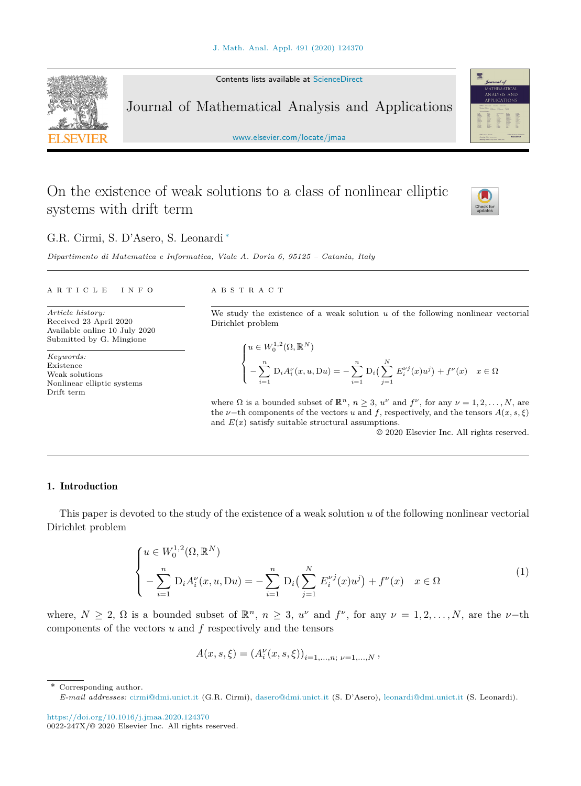Contents lists available at [ScienceDirect](http://www.ScienceDirect.com/)

Journal of Mathematical Analysis and Applications

[www.elsevier.com/locate/jmaa](http://www.elsevier.com/locate/jmaa)

# On the existence of weak solutions to a class of nonlinear elliptic systems with drift term



*Dipartimento di Matematica e Informatica, Viale A. Doria 6, 95125 – Catania, Italy*

#### A R T I C L E I N F O A B S T R A C T

*Article history:* Received 23 April 2020 Available online 10 July 2020 Submitted by G. Mingione

*Keywords:* Existence Weak solutions Nonlinear elliptic systems Drift term

We study the existence of a weak solution *u* of the following nonlinear vectorial Dirichlet problem

$$
\begin{cases} u \in W_0^{1,2}(\Omega, \mathbb{R}^N) \\ -\sum_{i=1}^n D_i A_i^{\nu}(x, u, Du) = -\sum_{i=1}^n D_i \left( \sum_{j=1}^N E_i^{\nu j}(x) u^j \right) + f^{\nu}(x) & x \in \Omega \end{cases}
$$

where  $\Omega$  is a bounded subset of  $\mathbb{R}^n$ ,  $n \geq 3$ ,  $u^{\nu}$  and  $f^{\nu}$ , for any  $\nu = 1, 2, ..., N$ , are the *v*−th components of the vectors *u* and *f*, respectively, and the tensors  $A(x, s, \xi)$ and  $E(x)$  satisfy suitable structural assumptions.

© 2020 Elsevier Inc. All rights reserved.

## 1. Introduction

This paper is devoted to the study of the existence of a weak solution *u* of the following nonlinear vectorial Dirichlet problem

$$
\begin{cases} u \in W_0^{1,2}(\Omega, \mathbb{R}^N) \\ -\sum_{i=1}^n D_i A_i^{\nu}(x, u, Du) = -\sum_{i=1}^n D_i \left( \sum_{j=1}^N E_i^{\nu j}(x) u^j \right) + f^{\nu}(x) & x \in \Omega \end{cases}
$$
(1)

where,  $N \geq 2$ ,  $\Omega$  is a bounded subset of  $\mathbb{R}^n$ ,  $n \geq 3$ ,  $u^{\nu}$  and  $f^{\nu}$ , for any  $\nu = 1, 2, ..., N$ , are the  $\nu$ -th components of the vectors *u* and *f* respectively and the tensors

$$
A(x, s, \xi) = (A_i^{\nu}(x, s, \xi))_{i=1,\dots,n; \nu=1,\dots,N},
$$

\* Corresponding author.

<https://doi.org/10.1016/j.jmaa.2020.124370>  $0022 - 247X/© 2020$  Elsevier Inc. All rights reserved.





*E-mail addresses:* [cirmi@dmi.unict.it](mailto:cirmi@dmi.unict.it) (G.R. Cirmi), [dasero@dmi.unict.it](mailto:dasero@dmi.unict.it) (S. D'Asero), [leonardi@dmi.unict.it](mailto:leonardi@dmi.unict.it) (S. Leonardi).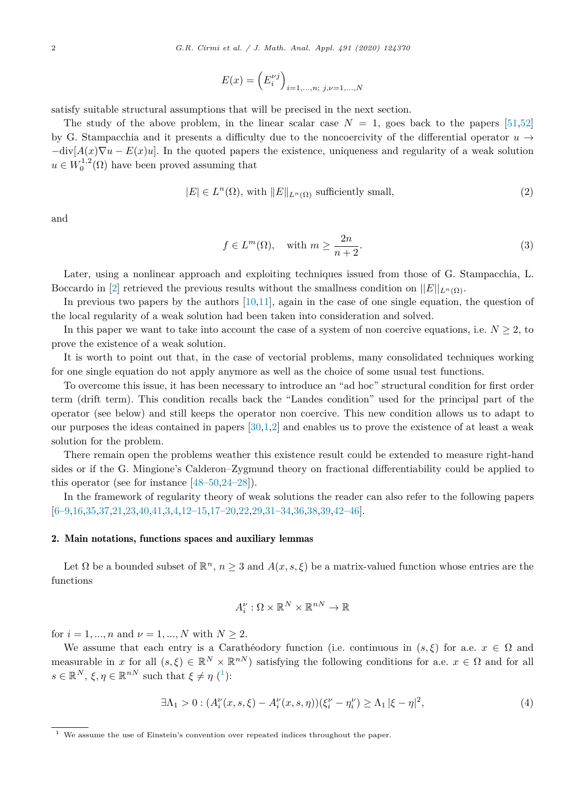$$
E(x) = \left(E_i^{\nu j}\right)_{i=1,...,n;\ j,\nu=1,...,N}
$$

<span id="page-1-0"></span>satisfy suitable structural assumptions that will be precised in the next section.

The study of the above problem, in the linear scalar case  $N = 1$ , goes back to the papers [[51,52\]](#page-15-0) by G. Stampacchia and it presents a difficulty due to the noncoercivity of the differential operator  $u \rightarrow$  $-div[A(x)\nabla u - E(x)u]$ . In the quoted papers the existence, uniqueness and regularity of a weak solution  $u \in W_0^{1,2}(\Omega)$  have been proved assuming that

$$
|E| \in L^{n}(\Omega), \text{ with } ||E||_{L^{n}(\Omega)} \text{ sufficiently small},\tag{2}
$$

and

$$
f \in L^m(\Omega), \quad \text{with } m \ge \frac{2n}{n+2}.\tag{3}
$$

Later, using a nonlinear approach and exploiting techniques issued from those of G. Stampacchia, L. Boccardo in [[2\]](#page-14-0) retrieved the previous results without the smallness condition on  $||E||_{L^n(\Omega)}$ .

In previous two papers by the authors [\[10,11\]](#page-14-0), again in the case of one single equation, the question of the local regularity of a weak solution had been taken into consideration and solved.

In this paper we want to take into account the case of a system of non coercive equations, i.e.  $N \geq 2$ , to prove the existence of a weak solution.

It is worth to point out that, in the case of vectorial problems, many consolidated techniques working for one single equation do not apply anymore as well as the choice of some usual test functions.

To overcome this issue, it has been necessary to introduce an "ad hoc" structural condition for first order term (drift term). This condition recalls back the "Landes condition" used for the principal part of the operator (see below) and still keeps the operator non coercive. This new condition allows us to adapt to our purposes the ideas contained in papers [[30](#page-15-0)[,1,2](#page-14-0)] and enables us to prove the existence of at least a weak solution for the problem.

There remain open the problems weather this existence result could be extended to measure right-hand sides or if the G. Mingione's Calderon–Zygmund theory on fractional differentiability could be applied to this operator (see for instance [\[48–50](#page-15-0),[24–](#page-14-0)[28\]](#page-15-0)).

In the framework of regularity theory of weak solutions the reader can also refer to the following papers [[6–9,16](#page-14-0)[,35,37](#page-15-0)[,21](#page-14-0),[23](#page-14-0)[,40,41](#page-15-0)[,3](#page-14-0),[4,12–15,17–20,22](#page-14-0)[,29](#page-15-0),[31–34,36,38,39](#page-15-0),[42–46\]](#page-15-0).

#### 2. Main notations, functions spaces and auxiliary lemmas

Let  $\Omega$  be a bounded subset of  $\mathbb{R}^n$ ,  $n \geq 3$  and  $A(x, s, \xi)$  be a matrix-valued function whose entries are the functions

$$
A_i^{\nu}: \Omega \times \mathbb{R}^N \times \mathbb{R}^{nN} \to \mathbb{R}
$$

for  $i = 1, ..., n$  and  $\nu = 1, ..., N$  with  $N \ge 2$ .

We assume that each entry is a Carathéodory function (i.e. continuous in  $(s,\xi)$  for a.e.  $x \in \Omega$  and measurable in *x* for all  $(s,\xi) \in \mathbb{R}^N \times \mathbb{R}^{nN}$  satisfying the following conditions for a.e.  $x \in \Omega$  and for all  $s \in \mathbb{R}^N$ ,  $\xi, \eta \in \mathbb{R}^{nN}$  such that  $\xi \neq \eta$  (<sup>1</sup>):

$$
\exists \Lambda_1 > 0 : (A_i^{\nu}(x, s, \xi) - A_i^{\nu}(x, s, \eta))(\xi_i^{\nu} - \eta_i^{\nu}) \ge \Lambda_1 |\xi - \eta|^2,
$$
\n(4)

<sup>1</sup> We assume the use of Einstein's convention over repeated indices throughout the paper.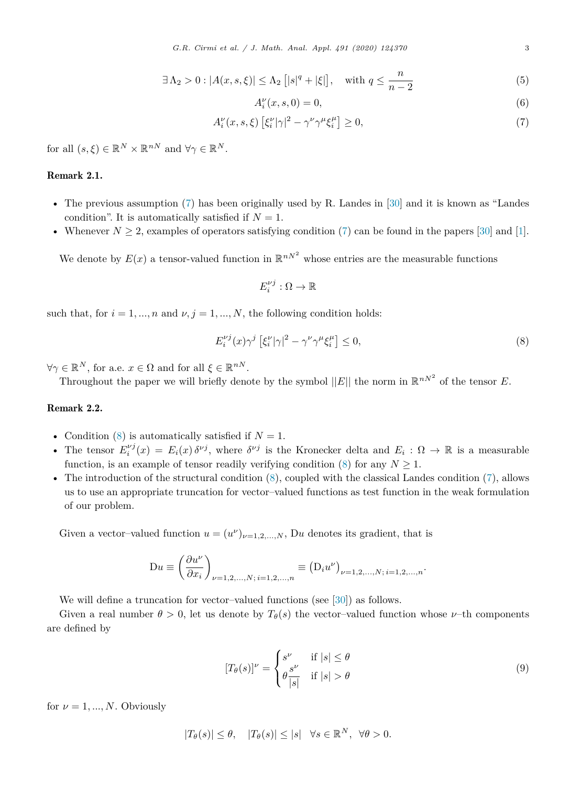$$
\exists \Lambda_2 > 0 : |A(x, s, \xi)| \le \Lambda_2 \left[ |s|^q + |\xi| \right], \quad \text{with } q \le \frac{n}{n-2} \tag{5}
$$

$$
A_i^{\nu}(x,s,0) = 0,\t\t(6)
$$

$$
A_i^{\nu}(x, s, \xi) \left[ \xi_i^{\nu} |\gamma|^2 - \gamma^{\nu} \gamma^{\mu} \xi_i^{\mu} \right] \ge 0, \tag{7}
$$

<span id="page-2-0"></span>for all  $(s, \xi) \in \mathbb{R}^N \times \mathbb{R}^{nN}$  and  $\forall \gamma \in \mathbb{R}^N$ .

# Remark 2.1.

- The previous assumption (7) has been originally used by R. Landes in [[30\]](#page-15-0) and it is known as "Landes condition". It is automatically satisfied if  $N = 1$ .
- Whenever  $N \geq 2$ , examples of operators satisfying condition (7) can be found in the papers [\[30](#page-15-0)] and [\[1\]](#page-14-0).

We denote by  $E(x)$  a tensor-valued function in  $\mathbb{R}^{n \times 2}$  whose entries are the measurable functions

$$
E_i^{\nu j} : \Omega \to \mathbb{R}
$$

such that, for  $i = 1, ..., n$  and  $\nu, j = 1, ..., N$ , the following condition holds:

$$
E_i^{\nu j}(x)\gamma^j \left[\xi_i^{\nu}|\gamma|^2 - \gamma^{\nu}\gamma^{\mu}\xi_i^{\mu}\right] \le 0,
$$
\n(8)

 $\forall \gamma \in \mathbb{R}^N$ , for a.e.  $x \in \Omega$  and for all  $\xi \in \mathbb{R}^{nN}$ .

Throughout the paper we will briefly denote by the symbol  $||E||$  the norm in  $\mathbb{R}^{nN^2}$  of the tensor *E*.

# Remark 2.2.

- Condition  $(8)$  is automatically satisfied if  $N = 1$ .
- The tensor  $E_i^{\nu j}(x) = E_i(x) \delta^{\nu j}$ , where  $\delta^{\nu j}$  is the Kronecker delta and  $E_i : \Omega \to \mathbb{R}$  is a measurable function, is an example of tensor readily verifying condition  $(8)$  for any  $N \geq 1$ .
- The introduction of the structural condition (8), coupled with the classical Landes condition (7), allows us to use an appropriate truncation for vector–valued functions as test function in the weak formulation of our problem.

Given a vector-valued function  $u = (u^{\nu})_{\nu=1,2,...,N}$ , Du denotes its gradient, that is

$$
Du \equiv \left(\frac{\partial u^{\nu}}{\partial x_i}\right)_{\nu=1,2,...,N;\,i=1,2,...,n} \equiv (D_i u^{\nu})_{\nu=1,2,...,N;\,i=1,2,...,n}.
$$

We will define a truncation for vector–valued functions (see [\[30](#page-15-0)]) as follows.

Given a real number  $\theta > 0$ , let us denote by  $T_{\theta}(s)$  the vector-valued function whose *v*-th components are defined by

$$
[T_{\theta}(s)]^{\nu} = \begin{cases} s^{\nu} & \text{if } |s| \le \theta \\ \theta \frac{s^{\nu}}{|s|} & \text{if } |s| > \theta \end{cases}
$$
 (9)

for  $\nu = 1, ..., N$ . Obviously

$$
|T_{\theta}(s)| \leq \theta, \quad |T_{\theta}(s)| \leq |s| \quad \forall s \in \mathbb{R}^{N}, \ \forall \theta > 0.
$$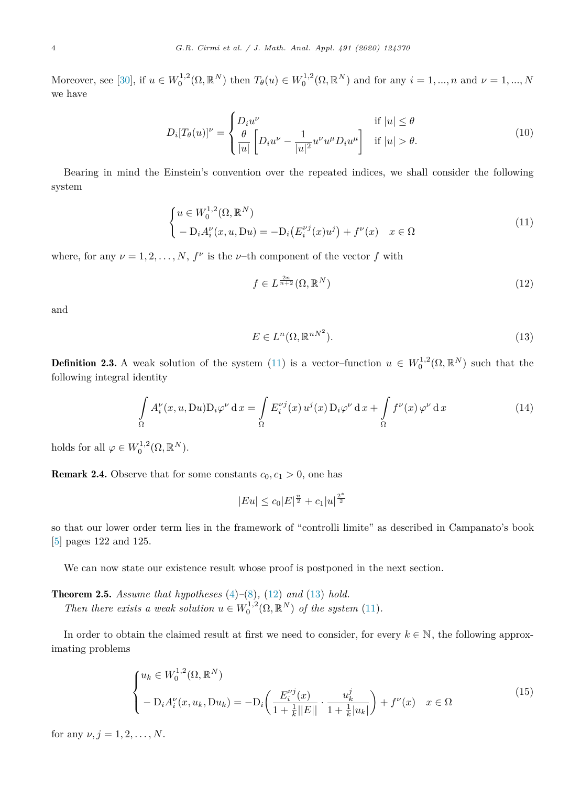<span id="page-3-0"></span>Moreover, see [\[30](#page-15-0)], if  $u \in W_0^{1,2}(\Omega, \mathbb{R}^N)$  then  $T_{\theta}(u) \in W_0^{1,2}(\Omega, \mathbb{R}^N)$  and for any  $i = 1, ..., n$  and  $\nu = 1, ..., N$ we have

$$
D_i[T_\theta(u)]^\nu = \begin{cases} D_i u^\nu & \text{if } |u| \le \theta \\ \frac{\theta}{|u|} \left[ D_i u^\nu - \frac{1}{|u|^2} u^\nu u^\mu D_i u^\mu \right] & \text{if } |u| > \theta. \end{cases}
$$
 (10)

Bearing in mind the Einstein's convention over the repeated indices, we shall consider the following system

$$
\begin{cases} u \in W_0^{1,2}(\Omega, \mathbb{R}^N) \\ -D_i A_i^{\nu}(x, u, Du) = -D_i (E_i^{\nu j}(x)u^j) + f^{\nu}(x) & x \in \Omega \end{cases}
$$
\n(11)

where, for any  $\nu = 1, 2, \ldots, N$ ,  $f^{\nu}$  is the  $\nu$ -th component of the vector  $f$  with

$$
f \in L^{\frac{2n}{n+2}}(\Omega, \mathbb{R}^N) \tag{12}
$$

and

$$
E \in L^n(\Omega, \mathbb{R}^{nN^2}).\tag{13}
$$

**Definition 2.3.** A weak solution of the system (11) is a vector-function  $u \in W_0^{1,2}(\Omega,\mathbb{R}^N)$  such that the following integral identity

$$
\int_{\Omega} A_i^{\nu}(x, u, Du) \mathcal{D}_i \varphi^{\nu} d x = \int_{\Omega} E_i^{\nu j}(x) u^{j}(x) \mathcal{D}_i \varphi^{\nu} d x + \int_{\Omega} f^{\nu}(x) \varphi^{\nu} d x \tag{14}
$$

holds for all  $\varphi \in W_0^{1,2}(\Omega, \mathbb{R}^N)$ .

**Remark 2.4.** Observe that for some constants  $c_0, c_1 > 0$ , one has

 $|Eu| \leq c_0 |E|^{\frac{n}{2}} + c_1 |u|^{\frac{2^*}{2}}$ 

so that our lower order term lies in the framework of "controlli limite" as described in Campanato's book [[5\]](#page-14-0) pages 122 and 125.

We can now state our existence result whose proof is postponed in the next section.

Theorem 2.5. *Assume that hypotheses* [\(4](#page-1-0))*–*[\(8](#page-2-0))*,* (12) *and* (13) *hold. Then there exists a weak solution*  $u \in W_0^{1,2}(\Omega, \mathbb{R}^N)$  *of the system* (11)*.* 

In order to obtain the claimed result at first we need to consider, for every  $k \in \mathbb{N}$ , the following approximating problems

$$
\begin{cases} u_k \in W_0^{1,2}(\Omega, \mathbb{R}^N) \\ -\mathcal{D}_i A_i^{\nu}(x, u_k, \mathcal{D}u_k) = -\mathcal{D}_i \left( \frac{E_i^{\nu j}(x)}{1 + \frac{1}{k} ||E||} \cdot \frac{u_k^j}{1 + \frac{1}{k} |u_k|} \right) + f^{\nu}(x) & x \in \Omega \end{cases}
$$
(15)

for any  $\nu, j = 1, 2, ..., N$ .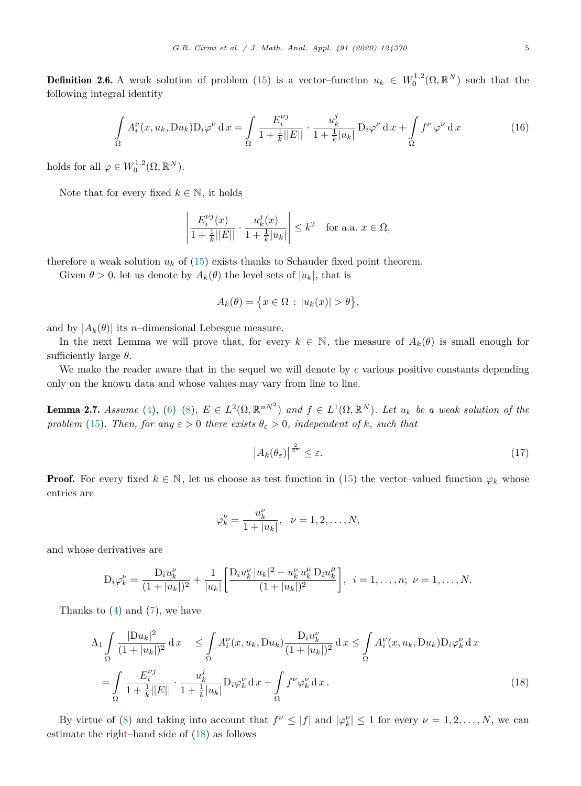<span id="page-4-0"></span>**Definition 2.6.** A weak solution of problem ([15\)](#page-3-0) is a vector-function  $u_k \in W_0^{1,2}(\Omega, \mathbb{R}^N)$  such that the following integral identity

$$
\int_{\Omega} A_i^{\nu}(x, u_k, Du_k) \mathcal{D}_i \varphi^{\nu} d x = \int_{\Omega} \frac{E_i^{\nu j}}{1 + \frac{1}{k} ||E||} \cdot \frac{u_k^j}{1 + \frac{1}{k} |u_k|} \mathcal{D}_i \varphi^{\nu} d x + \int_{\Omega} f^{\nu} \varphi^{\nu} d x \tag{16}
$$

holds for all  $\varphi \in W_0^{1,2}(\Omega, \mathbb{R}^N)$ .

Note that for every fixed  $k \in \mathbb{N}$ , it holds

$$
\left| \frac{E_i^{\nu j}(x)}{1 + \frac{1}{k} ||E||} \cdot \frac{u_k^j(x)}{1 + \frac{1}{k} |u_k|} \right| \le k^2 \quad \text{for a.a. } x \in \Omega,
$$

therefore a weak solution  $u_k$  of [\(15](#page-3-0)) exists thanks to Schauder fixed point theorem.

Given  $\theta > 0$ , let us denote by  $A_k(\theta)$  the level sets of  $|u_k|$ , that is

$$
A_k(\theta) = \{x \in \Omega : |u_k(x)| > \theta\},\
$$

and by  $|A_k(\theta)|$  its *n*-dimensional Lebesgue measure.

In the next Lemma we will prove that, for every  $k \in \mathbb{N}$ , the measure of  $A_k(\theta)$  is small enough for sufficiently large *θ*.

We make the reader aware that in the sequel we will denote by *c* various positive constants depending only on the known data and whose values may vary from line to line.

**Lemma 2.7.** Assume [\(4](#page-1-0)), [\(6](#page-2-0))-[\(8](#page-2-0)),  $E \in L^2(\Omega, \mathbb{R}^{nN^2})$  and  $f \in L^1(\Omega, \mathbb{R}^N)$ . Let  $u_k$  be a weak solution of the *problem* [\(15](#page-3-0))*. Then, for any*  $\varepsilon > 0$  *there exists*  $\theta_{\varepsilon} > 0$ *, independent of k, such that* 

$$
\left| A_k(\theta_\varepsilon) \right|^{\frac{2}{2^*}} \le \varepsilon. \tag{17}
$$

**Proof.** For every fixed  $k \in \mathbb{N}$ , let us choose as test function in ([15\)](#page-3-0) the vector-valued function  $\varphi_k$  whose entries are

$$
\varphi_k^{\nu} = \frac{u_k^{\nu}}{1 + |u_k|}, \quad \nu = 1, 2, ..., N,
$$

and whose derivatives are

$$
D_i \varphi_k^{\nu} = \frac{D_i u_k^{\nu}}{(1+|u_k|)^2} + \frac{1}{|u_k|} \left[ \frac{D_i u_k^{\nu} |u_k|^2 - u_k^{\nu} u_k^{\mu} D_i u_k^{\mu}}{(1+|u_k|)^2} \right], \quad i = 1, \dots, n; \quad \nu = 1, \dots, N.
$$

Thanks to  $(4)$  $(4)$  and  $(7)$  $(7)$ , we have

$$
\Lambda_1 \int_{\Omega} \frac{|Du_k|^2}{(1+|u_k|)^2} dx \le \int_{\Omega} A_i^{\nu}(x, u_k, Du_k) \frac{D_i u_k^{\nu}}{(1+|u_k|)^2} dx \le \int_{\Omega} A_i^{\nu}(x, u_k, Du_k) D_i \varphi_k^{\nu} dx \n= \int_{\Omega} \frac{E_i^{\nu j}}{1 + \frac{1}{k} ||E||} \cdot \frac{u_k^j}{1 + \frac{1}{k} |u_k|} D_i \varphi_k^{\nu} dx + \int_{\Omega} f^{\nu} \varphi_k^{\nu} dx.
$$
\n(18)

By virtue of [\(8](#page-2-0)) and taking into account that  $f^{\nu} \leq |f|$  and  $|\varphi_k^{\nu}| \leq 1$  for every  $\nu = 1, 2, ..., N$ , we can estimate the right–hand side of (18) as follows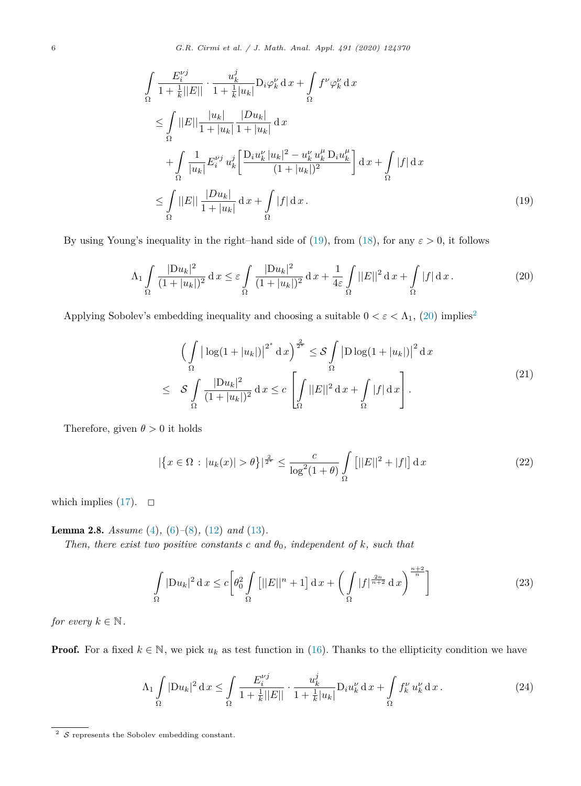<span id="page-5-0"></span>6 *G.R. Cirmi et al. / J. Math. Anal. Appl. 491 (2020) 124370*

$$
\int_{\Omega} \frac{E_i^{\nu j}}{1 + \frac{1}{k}||E||} \cdot \frac{u_k^j}{1 + \frac{1}{k}|u_k|} \mathcal{D}_i \varphi_k^{\nu} d x + \int_{\Omega} f^{\nu} \varphi_k^{\nu} d x \n\leq \int_{\Omega} ||E|| \frac{|u_k|}{1 + |u_k|} \frac{|Du_k|}{1 + |u_k|} dx \n+ \int_{\Omega} \frac{1}{|u_k|} E_i^{\nu j} u_k^j \left[ \frac{\mathcal{D}_i u_k^{\nu} |u_k|^2 - u_k^{\nu} u_k^{\mu} \mathcal{D}_i u_k^{\mu}}{(1 + |u_k|)^2} \right] dx + \int_{\Omega} |f| dx \n\leq \int_{\Omega} ||E|| \frac{|Du_k|}{1 + |u_k|} dx + \int_{\Omega} |f| dx.
$$
\n(19)

By using Young's inequality in the right–hand side of (19), from ([18\)](#page-4-0), for any  $\varepsilon > 0$ , it follows

$$
\Lambda_1 \int\limits_{\Omega} \frac{|{\rm D}u_k|^2}{(1+|u_k|)^2} \, \mathrm{d}x \leq \varepsilon \int\limits_{\Omega} \frac{|{\rm D}u_k|^2}{(1+|u_k|)^2} \, \mathrm{d}x + \frac{1}{4\varepsilon} \int\limits_{\Omega} ||E||^2 \, \mathrm{d}x + \int\limits_{\Omega} |f| \, \mathrm{d}x \,. \tag{20}
$$

Applying Sobolev's embedding inequality and choosing a suitable  $0 < \varepsilon < \Lambda_1$ , (20) implies<sup>2</sup>

$$
\left(\int_{\Omega} \left|\log(1+|u_k|)\right|^{2^*} \mathrm{d}x\right)^{\frac{2}{2^*}} \leq \mathcal{S} \int_{\Omega} \left|\mathrm{D}\log(1+|u_k|)\right|^2 \mathrm{d}x
$$
\n
$$
\leq \quad \mathcal{S} \int_{\Omega} \frac{|\mathrm{D}u_k|^2}{(1+|u_k|)^2} \mathrm{d}x \leq c \left[\int_{\Omega} ||E||^2 \mathrm{d}x + \int_{\Omega} |f| \mathrm{d}x\right].
$$
\n
$$
(21)
$$

Therefore, given  $\theta > 0$  it holds

$$
|\{x \in \Omega : |u_k(x)| > \theta\}|^{\frac{2}{2^*}} \le \frac{c}{\log^2(1+\theta)} \int_{\Omega} \left[||E||^2 + |f|\right] dx \tag{22}
$$

which implies [\(17\)](#page-4-0).  $\Box$ 

#### Lemma 2.8. *Assume* [\(4\)](#page-1-0)*,* ([6\)](#page-2-0)*–*([8\)](#page-2-0)*,* [\(12](#page-3-0)) *and* [\(13](#page-3-0))*.*

*Then, there exist two positive constants*  $c$  *and*  $\theta_0$ *, independent of*  $k$ *, such that* 

$$
\int_{\Omega} |\mathcal{D}u_k|^2 \, \mathrm{d}x \le c \bigg[ \theta_0^2 \int_{\Omega} \left[ ||E||^n + 1 \right] \mathrm{d}x + \bigg( \int_{\Omega} |f|^{\frac{2n}{n+2}} \, \mathrm{d}x \bigg)^{\frac{n+2}{n}} \bigg] \tag{23}
$$

*for every*  $k \in \mathbb{N}$ .

**Proof.** For a fixed  $k \in \mathbb{N}$ , we pick  $u_k$  as test function in ([16\)](#page-4-0). Thanks to the ellipticity condition we have

$$
\Lambda_1 \int_{\Omega} |\mathcal{D}u_k|^2 \, \mathrm{d}x \le \int_{\Omega} \frac{E_i^{\nu j}}{1 + \frac{1}{k} ||E||} \cdot \frac{u_k^j}{1 + \frac{1}{k} |u_k|} \mathcal{D}_i u_k^{\nu} \, \mathrm{d}x + \int_{\Omega} f_k^{\nu} u_k^{\nu} \, \mathrm{d}x \,. \tag{24}
$$

 $^2\,$   $\mathcal S$  represents the Sobolev embedding constant.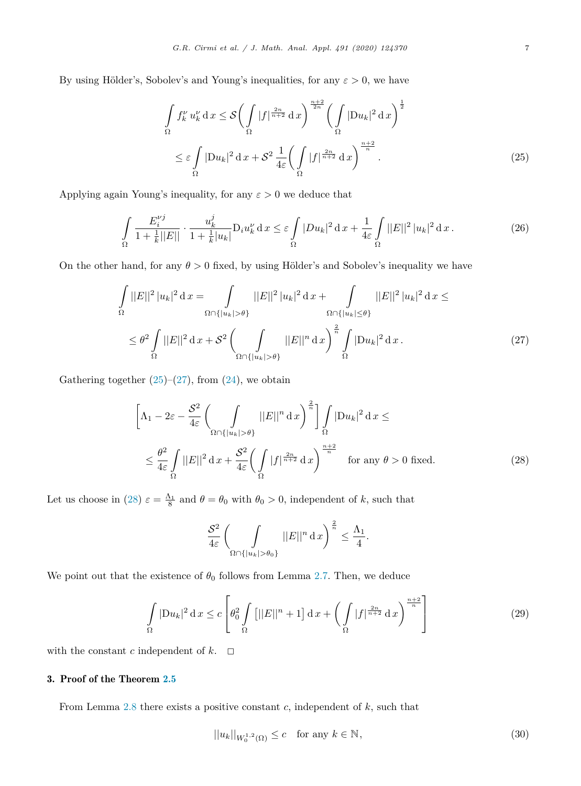<span id="page-6-0"></span>By using Hölder's, Sobolev's and Young's inequalities, for any  $\varepsilon > 0$ , we have

$$
\int_{\Omega} f_k^{\nu} u_k^{\nu} dx \leq \mathcal{S} \bigg( \int_{\Omega} |f|^{\frac{2n}{n+2}} dx \bigg)^{\frac{n+2}{2n}} \bigg( \int_{\Omega} |\mathcal{D}u_k|^2 dx \bigg)^{\frac{1}{2}}
$$
\n
$$
\leq \varepsilon \int_{\Omega} |\mathcal{D}u_k|^2 dx + \mathcal{S}^2 \frac{1}{4\varepsilon} \bigg( \int_{\Omega} |f|^{\frac{2n}{n+2}} dx \bigg)^{\frac{n+2}{n}}.
$$
\n(25)

Applying again Young's inequality, for any  $\varepsilon > 0$  we deduce that

$$
\int_{\Omega} \frac{E_i^{\nu j}}{1 + \frac{1}{k}||E||} \cdot \frac{u_k^j}{1 + \frac{1}{k}|u_k|} \mathcal{D}_i u_k^{\nu} \, \mathrm{d}x \le \varepsilon \int_{\Omega} |Du_k|^2 \, \mathrm{d}x + \frac{1}{4\varepsilon} \int_{\Omega} ||E||^2 \, |u_k|^2 \, \mathrm{d}x. \tag{26}
$$

On the other hand, for any  $\theta > 0$  fixed, by using Hölder's and Sobolev's inequality we have

$$
\int_{\Omega} ||E||^2 |u_k|^2 dx = \int_{\Omega \cap {|u_k| > \theta}} ||E||^2 |u_k|^2 dx + \int_{\Omega \cap {|u_k| \le \theta}} ||E||^2 |u_k|^2 dx \le
$$
  

$$
\le \theta^2 \int_{\Omega} ||E||^2 dx + \mathcal{S}^2 \left( \int_{\Omega \cap {|u_k| > \theta}} ||E||^2 dx \right)^{\frac{2}{n}} \int_{\Omega} |Du_k|^2 dx.
$$
 (27)

Gathering together  $(25)$ – $(27)$ , from  $(24)$  $(24)$ , we obtain

$$
\left[\Lambda_1 - 2\varepsilon - \frac{S^2}{4\varepsilon} \left( \int_{\Omega \cap \{|u_k| > \theta\}} ||E||^n \, dx \right)^{\frac{2}{n}} \right] \int_{\Omega} |Du_k|^2 \, dx \le
$$
  

$$
\leq \frac{\theta^2}{4\varepsilon} \int_{\Omega} ||E||^2 \, dx + \frac{S^2}{4\varepsilon} \left( \int_{\Omega} |f|^{\frac{2n}{n+2}} \, dx \right)^{\frac{n+2}{n}} \quad \text{for any } \theta > 0 \text{ fixed.}
$$
 (28)

Let us choose in (28)  $\varepsilon = \frac{\Lambda_1}{8}$  and  $\theta = \theta_0$  with  $\theta_0 > 0$ , independent of *k*, such that

$$
\frac{S^2}{4\varepsilon} \left( \int\limits_{\Omega \cap \{|u_k| > \theta_0\}} ||E||^n \, \mathrm{d}x \right)^{\frac{2}{n}} \le \frac{\Lambda_1}{4}.
$$

We point out that the existence of  $\theta_0$  follows from Lemma [2.7](#page-4-0). Then, we deduce

$$
\int_{\Omega} |\mathcal{D}u_k|^2 \, \mathrm{d}x \le c \left[ \theta_0^2 \int_{\Omega} \left[ ||E||^n + 1 \right] \mathrm{d}x + \left( \int_{\Omega} |f|^{\frac{2n}{n+2}} \, \mathrm{d}x \right)^{\frac{n+2}{n}} \right] \tag{29}
$$

with the constant *c* independent of  $k$ .  $\Box$ 

# 3. Proof of the Theorem [2.5](#page-3-0)

From Lemma [2.8](#page-5-0) there exists a positive constant *c*, independent of *k*, such that

$$
||u_k||_{W_0^{1,2}(\Omega)} \le c \quad \text{for any } k \in \mathbb{N},\tag{30}
$$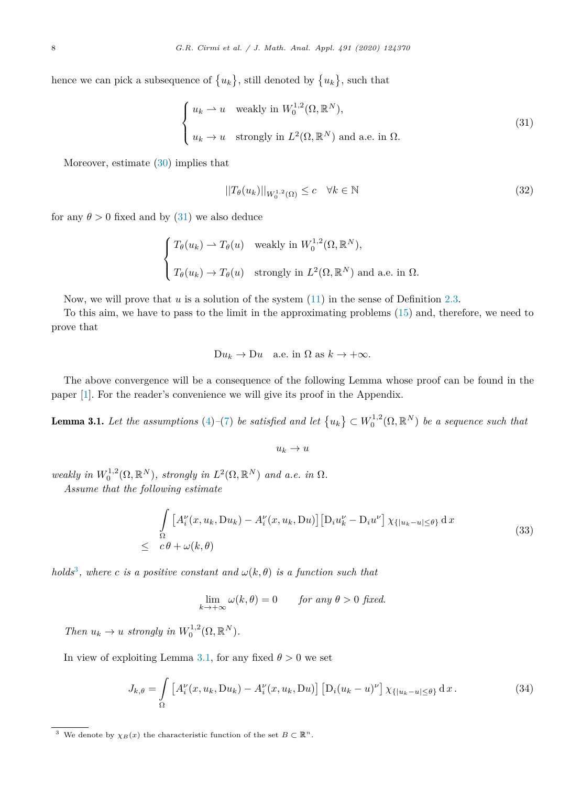<span id="page-7-0"></span>hence we can pick a subsequence of  $\{u_k\}$ , still denoted by  $\{u_k\}$ , such that

$$
\begin{cases} u_k \rightharpoonup u \quad \text{weakly in } W_0^{1,2}(\Omega, \mathbb{R}^N), \\ u_k \to u \quad \text{strongly in } L^2(\Omega, \mathbb{R}^N) \text{ and a.e. in } \Omega. \end{cases}
$$
 (31)

Moreover, estimate ([30\)](#page-6-0) implies that

$$
||T_{\theta}(u_k)||_{W_0^{1,2}(\Omega)} \le c \quad \forall k \in \mathbb{N}
$$
\n(32)

for any  $\theta > 0$  fixed and by (31) we also deduce

$$
\begin{cases}\nT_{\theta}(u_k) \to T_{\theta}(u) & \text{weakly in } W_0^{1,2}(\Omega, \mathbb{R}^N), \\
T_{\theta}(u_k) \to T_{\theta}(u) & \text{strongly in } L^2(\Omega, \mathbb{R}^N) \text{ and a.e. in } \Omega.\n\end{cases}
$$

Now, we will prove that *u* is a solution of the system  $(11)$  $(11)$  in the sense of Definition [2.3](#page-3-0).

To this aim, we have to pass to the limit in the approximating problems [\(15\)](#page-3-0) and, therefore, we need to prove that

$$
Du_k \to Du \quad \text{a.e. in } \Omega \text{ as } k \to +\infty.
$$

The above convergence will be a consequence of the following Lemma whose proof can be found in the paper [\[1](#page-14-0)]. For the reader's convenience we will give its proof in the Appendix.

**Lemma 3.1.** Let the assumptions [\(4](#page-1-0))-[\(7](#page-2-0)) be satisfied and let  $\{u_k\} \subset W_0^{1,2}(\Omega,\mathbb{R}^N)$  be a sequence such that

$$
u_k\to u
$$

*weakly in*  $W_0^{1,2}(\Omega, \mathbb{R}^N)$ *, strongly in*  $L^2(\Omega, \mathbb{R}^N)$  *and a.e. in*  $\Omega$ *.* 

*Assume that the following estimate*

$$
\int_{\Omega} \left[ A_i^{\nu}(x, u_k, Du_k) - A_i^{\nu}(x, u_k, Du) \right] \left[ D_i u_k^{\nu} - D_i u^{\nu} \right] \chi_{\{|u_k - u| \le \theta\}} d x
$$
\n
$$
\le c\theta + \omega(k, \theta)
$$
\n(33)

*holds*<sup>3</sup>, where *c is a positive constant and*  $\omega(k, \theta)$  *is a function such that* 

$$
\lim_{k \to +\infty} \omega(k,\theta) = 0 \quad \text{for any } \theta > 0 \text{ fixed.}
$$

*Then*  $u_k \to u$  *strongly in*  $W_0^{1,2}(\Omega, \mathbb{R}^N)$ *.* 

In view of exploiting Lemma 3.1, for any fixed  $\theta > 0$  we set

$$
J_{k,\theta} = \int_{\Omega} \left[ A_i^{\nu}(x, u_k, \mathrm{D}u_k) - A_i^{\nu}(x, u_k, \mathrm{D}u) \right] \left[ \mathrm{D}_i(u_k - u)^{\nu} \right] \chi_{\{|u_k - u| \le \theta\}} \, \mathrm{d}x \,. \tag{34}
$$

<sup>&</sup>lt;sup>3</sup> We denote by  $\chi_B(x)$  the characteristic function of the set  $B \subset \mathbb{R}^n$ .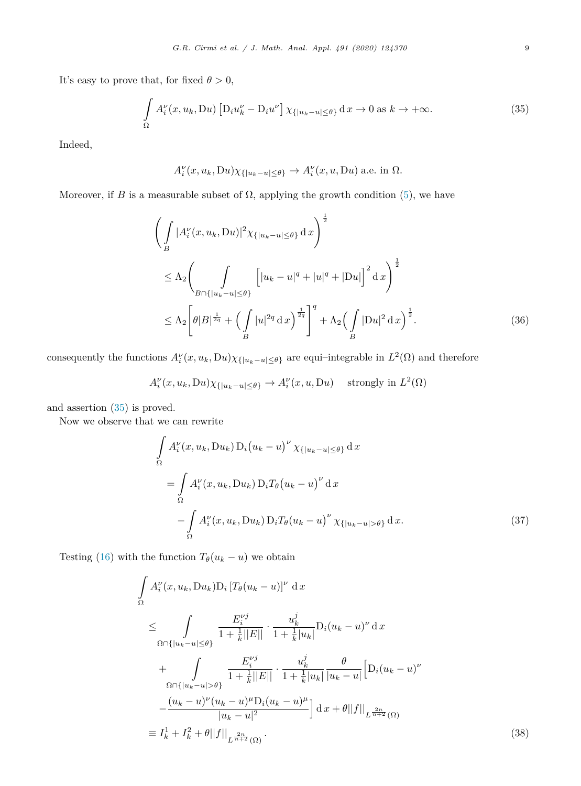<span id="page-8-0"></span>It's easy to prove that, for fixed  $\theta > 0$ ,

$$
\int_{\Omega} A_i^{\nu}(x, u_k, \mathrm{D}u) \left[ \mathrm{D}_i u_k^{\nu} - \mathrm{D}_i u^{\nu} \right] \chi_{\{|u_k - u| \le \theta\}} \mathrm{d}x \to 0 \text{ as } k \to +\infty. \tag{35}
$$

Indeed,

$$
A_i^{\nu}(x, u_k, Du)\chi_{\{|u_k-u|\leq \theta\}} \to A_i^{\nu}(x, u, Du)
$$
 a.e. in  $\Omega$ .

Moreover, if *B* is a measurable subset of  $\Omega$ , applying the growth condition ([5\)](#page-2-0), we have

$$
\left(\int_{B} |A_i^{\nu}(x, u_k, Du)|^2 \chi_{\{|u_k - u| \le \theta\}} \, dx\right)^{\frac{1}{2}} \n\le \Lambda_2 \left(\int_{B \cap \{|u_k - u| \le \theta\}} \left[|u_k - u|^q + |u|^q + |Du|\right]^2 \, dx\right)^{\frac{1}{2}} \n\le \Lambda_2 \left[\theta |B|^{\frac{1}{2q}} + \left(\int_{B} |u|^2 \, dx\right)^{\frac{1}{2q}}\right]^q + \Lambda_2 \left(\int_{B} |Du|^2 \, dx\right)^{\frac{1}{2}}.
$$
\n(36)

consequently the functions  $A_i^{\nu}(x, u_k, Du)\chi_{\{|u_k-u|\leq \theta\}}$  are equi–integrable in  $L^2(\Omega)$  and therefore

$$
A_i^{\nu}(x, u_k, Du)\chi_{\{|u_k-u|\leq \theta\}} \to A_i^{\nu}(x, u, Du) \quad \text{strongly in } L^2(\Omega)
$$

and assertion (35) is proved.

Now we observe that we can rewrite

$$
\int_{\Omega} A_i^{\nu}(x, u_k, Du_k) D_i(u_k - u)^{\nu} \chi_{\{|u_k - u| \le \theta\}} d x
$$
\n
$$
= \int_{\Omega} A_i^{\nu}(x, u_k, Du_k) D_i T_{\theta}(u_k - u)^{\nu} d x
$$
\n
$$
- \int_{\Omega} A_i^{\nu}(x, u_k, Du_k) D_i T_{\theta}(u_k - u)^{\nu} \chi_{\{|u_k - u| > \theta\}} d x. \tag{37}
$$

Testing [\(16](#page-4-0)) with the function  $T_{\theta}(u_k - u)$  we obtain

$$
\int_{\Omega} A_i^{\nu}(x, u_k, Du_k) D_i \left[ T_{\theta}(u_k - u) \right]^{\nu} dx
$$
\n
$$
\leq \int_{\Omega \cap \{|u_k - u| \leq \theta\}} \frac{E_i^{\nu j}}{1 + \frac{1}{k} ||E||} \cdot \frac{u_k^j}{1 + \frac{1}{k} |u_k|} D_i(u_k - u)^{\nu} dx
$$
\n
$$
+ \int_{\Omega \cap \{|u_k - u| > \theta\}} \frac{E_i^{\nu j}}{1 + \frac{1}{k} ||E||} \cdot \frac{u_k^j}{1 + \frac{1}{k} |u_k|} \frac{\theta}{|u_k - u|} \left[ D_i(u_k - u)^{\nu} - \frac{(u_k - u)^{\nu} (u_k - u)^{\mu} D_i(u_k - u)^{\mu}}{|u_k - u|^2} \right] dx + \theta ||f||_{L^{\frac{2n}{n+2}}(\Omega)}
$$
\n
$$
\equiv I_k^1 + I_k^2 + \theta ||f||_{L^{\frac{2n}{n+2}}(\Omega)}.
$$
\n(38)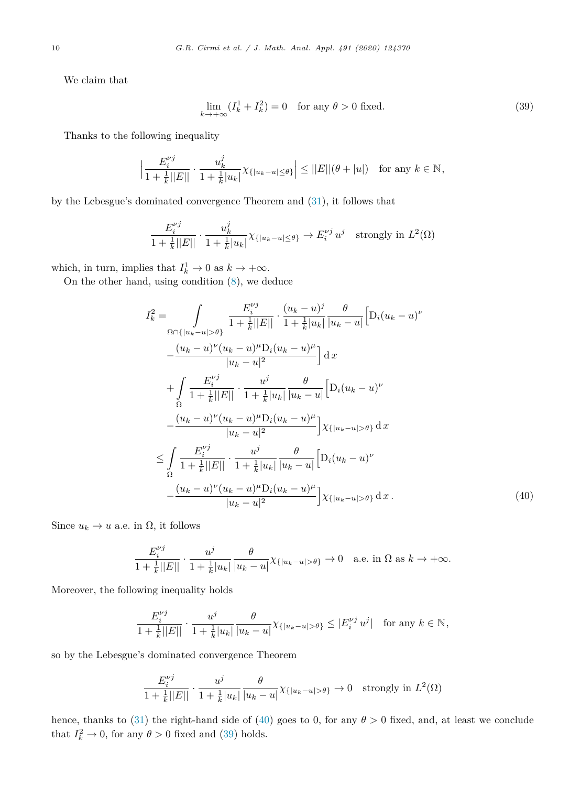<span id="page-9-0"></span>We claim that

$$
\lim_{k \to +\infty} (I_k^1 + I_k^2) = 0 \quad \text{for any } \theta > 0 \text{ fixed.}
$$
\n(39)

Thanks to the following inequality

$$
\left|\frac{E_i^{\nu j}}{1+\frac{1}{k}||E||}\cdot \frac{u_k^j}{1+\frac{1}{k}|u_k|}\chi_{\{|u_k-u|\leq \theta\}}\right| \leq ||E||(\theta+|u|) \text{ for any } k \in \mathbb{N},
$$

by the Lebesgue's dominated convergence Theorem and ([31\)](#page-7-0), it follows that

$$
\frac{E_i^{\nu j}}{1 + \frac{1}{k}||E||} \cdot \frac{u_k^j}{1 + \frac{1}{k}|u_k|} \chi_{\{|u_k - u| \le \theta\}} \to E_i^{\nu j} u^j \quad \text{strongly in } L^2(\Omega)
$$

which, in turn, implies that  $I_k^1 \to 0$  as  $k \to +\infty$ .

On the other hand, using condition ([8\)](#page-2-0), we deduce

$$
I_{k}^{2} = \int_{\Omega \cap \{|u_{k}-u|>\theta\}} \frac{E_{i}^{\nu j}}{1 + \frac{1}{k}||E||} \cdot \frac{(u_{k}-u)^{j}}{1 + \frac{1}{k}|u_{k}|} \frac{\theta}{|u_{k}-u|} \left[D_{i}(u_{k}-u)^{\nu} - \frac{(u_{k}-u)^{\nu}(u_{k}-u)^{\mu}D_{i}(u_{k}-u)^{\mu}}{|u_{k}-u|^{2}}\right] dx
$$
  
+ 
$$
\int_{\Omega} \frac{E_{i}^{\nu j}}{1 + \frac{1}{k}||E||} \cdot \frac{u^{j}}{1 + \frac{1}{k}|u_{k}|} \frac{\theta}{|u_{k}-u|} \left[D_{i}(u_{k}-u)^{\nu} - \frac{(u_{k}-u)^{\nu}(u_{k}-u)^{\mu}D_{i}(u_{k}-u)^{\mu}}{|u_{k}-u|^{2}}\right] \chi_{\{|u_{k}-u|>\theta\}} dx
$$
  

$$
\leq \int_{\Omega} \frac{E_{i}^{\nu j}}{1 + \frac{1}{k}||E||} \cdot \frac{u^{j}}{1 + \frac{1}{k}|u_{k}|} \frac{\theta}{|u_{k}-u|} \left[D_{i}(u_{k}-u)^{\nu} - \frac{(u_{k}-u)^{\nu}(u_{k}-u)^{\mu}D_{i}(u_{k}-u)^{\mu}}{|u_{k}-u|^{2}}\right] \chi_{\{|u_{k}-u|>\theta\}} dx
$$
  
(40)

Since  $u_k \to u$  a.e. in  $\Omega$ , it follows

$$
\frac{E_i^{\nu j}}{1 + \frac{1}{k}||E||} \cdot \frac{u^j}{1 + \frac{1}{k}|u_k|} \frac{\theta}{|u_k - u|} \chi_{\{|u_k - u| > \theta\}} \to 0 \quad \text{a.e. in } \Omega \text{ as } k \to +\infty.
$$

Moreover, the following inequality holds

$$
\frac{E_i^{\nu j}}{1+\frac{1}{k}||E||}\cdot\frac{u^j}{1+\frac{1}{k}|u_k|}\frac{\theta}{|u_k-u|}\chi_{\{|u_k-u|>\theta\}}\leq |E_i^{\nu j}\,u^j|\quad\text{for any }k\in\mathbb{N},
$$

so by the Lebesgue's dominated convergence Theorem

$$
\frac{E_i^{\nu j}}{1 + \frac{1}{k}||E||} \cdot \frac{u^j}{1 + \frac{1}{k}|u_k|} \frac{\theta}{|u_k - u|} \chi_{\{|u_k - u| > \theta\}} \to 0 \quad \text{strongly in } L^2(\Omega)
$$

hence, thanks to [\(31](#page-7-0)) the right-hand side of (40) goes to 0, for any  $\theta > 0$  fixed, and, at least we conclude that  $I_k^2 \to 0$ , for any  $\theta > 0$  fixed and (39) holds.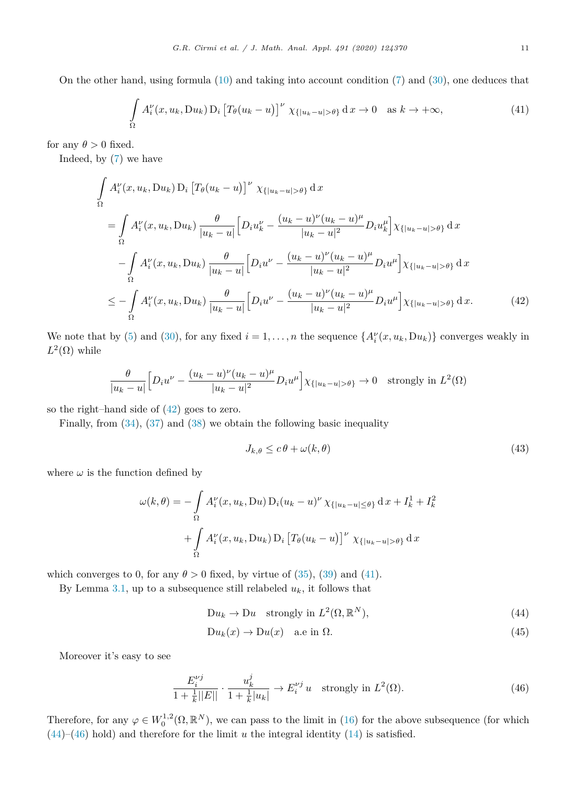On the other hand, using formula ([10\)](#page-3-0) and taking into account condition [\(7](#page-2-0)) and [\(30\)](#page-6-0), one deduces that

$$
\int_{\Omega} A_i^{\nu}(x, u_k, Du_k) D_i \left[ T_{\theta}(u_k - u) \right]^{\nu} \chi_{\{|u_k - u| > \theta\}} d x \to 0 \quad \text{as } k \to +\infty,
$$
\n(41)

for any  $\theta > 0$  fixed.

Indeed, by ([7\)](#page-2-0) we have

$$
\int_{\Omega} A_{i}^{\nu}(x, u_{k}, Du_{k}) \, \mathcal{D}_{i} \left[ T_{\theta}(u_{k} - u) \right]^{\nu} \, \chi_{\{|u_{k} - u| > \theta\}} \, \mathrm{d}x
$$
\n
$$
= \int_{\Omega} A_{i}^{\nu}(x, u_{k}, Du_{k}) \, \frac{\theta}{|u_{k} - u|} \left[ D_{i} u_{k}^{\nu} - \frac{(u_{k} - u)^{\nu}(u_{k} - u)^{\mu}}{|u_{k} - u|^{2}} D_{i} u_{k}^{\mu} \right] \chi_{\{|u_{k} - u| > \theta\}} \, \mathrm{d}x
$$
\n
$$
- \int_{\Omega} A_{i}^{\nu}(x, u_{k}, Du_{k}) \, \frac{\theta}{|u_{k} - u|} \left[ D_{i} u^{\nu} - \frac{(u_{k} - u)^{\nu}(u_{k} - u)^{\mu}}{|u_{k} - u|^{2}} D_{i} u^{\mu} \right] \chi_{\{|u_{k} - u| > \theta\}} \, \mathrm{d}x
$$
\n
$$
\leq - \int_{\Omega} A_{i}^{\nu}(x, u_{k}, Du_{k}) \, \frac{\theta}{|u_{k} - u|} \left[ D_{i} u^{\nu} - \frac{(u_{k} - u)^{\nu}(u_{k} - u)^{\mu}}{|u_{k} - u|^{2}} D_{i} u^{\mu} \right] \chi_{\{|u_{k} - u| > \theta\}} \, \mathrm{d}x. \tag{42}
$$

We note that by [\(5](#page-2-0)) and ([30\)](#page-6-0), for any fixed  $i = 1, ..., n$  the sequence  $\{A_i^{\nu}(x, u_k, Du_k)\}$  converges weakly in  $L^2(\Omega)$  while

$$
\frac{\theta}{|u_k - u|} \Big[ D_i u^{\nu} - \frac{(u_k - u)^{\nu} (u_k - u)^{\mu}}{|u_k - u|^2} D_i u^{\mu} \Big] \chi_{\{|u_k - u| > \theta\}} \to 0 \quad \text{strongly in } L^2(\Omega)
$$

so the right–hand side of (42) goes to zero.

Finally, from [\(34](#page-7-0)), [\(37](#page-8-0)) and ([38\)](#page-8-0) we obtain the following basic inequality

$$
J_{k,\theta} \le c\,\theta + \omega(k,\theta) \tag{43}
$$

where  $\omega$  is the function defined by

$$
\omega(k,\theta) = -\int_{\Omega} A_i^{\nu}(x, u_k, Du) D_i(u_k - u)^{\nu} \chi_{\{|u_k - u| \le \theta\}} d x + I_k^1 + I_k^2
$$

$$
+ \int_{\Omega} A_i^{\nu}(x, u_k, Du_k) D_i \left[ T_{\theta}(u_k - u) \right]^{\nu} \chi_{\{|u_k - u| > \theta\}} d x
$$

which converges to 0, for any  $\theta > 0$  fixed, by virtue of ([35\)](#page-8-0), ([39\)](#page-9-0) and (41).

By Lemma [3.1,](#page-7-0) up to a subsequence still relabeled  $u_k$ , it follows that

$$
Du_k \to Du \quad \text{strongly in } L^2(\Omega, \mathbb{R}^N), \tag{44}
$$

$$
Du_k(x) \to Du(x) \quad \text{a.e in } \Omega. \tag{45}
$$

Moreover it's easy to see

$$
\frac{E_i^{\nu j}}{1 + \frac{1}{k}||E||} \cdot \frac{u_k^j}{1 + \frac{1}{k}|u_k|} \to E_i^{\nu j} u \quad \text{strongly in } L^2(\Omega). \tag{46}
$$

Therefore, for any  $\varphi \in W_0^{1,2}(\Omega, \mathbb{R}^N)$ , we can pass to the limit in [\(16](#page-4-0)) for the above subsequence (for which (44)–(46) hold) and therefore for the limit *u* the integral identity [\(14](#page-3-0)) is satisfied.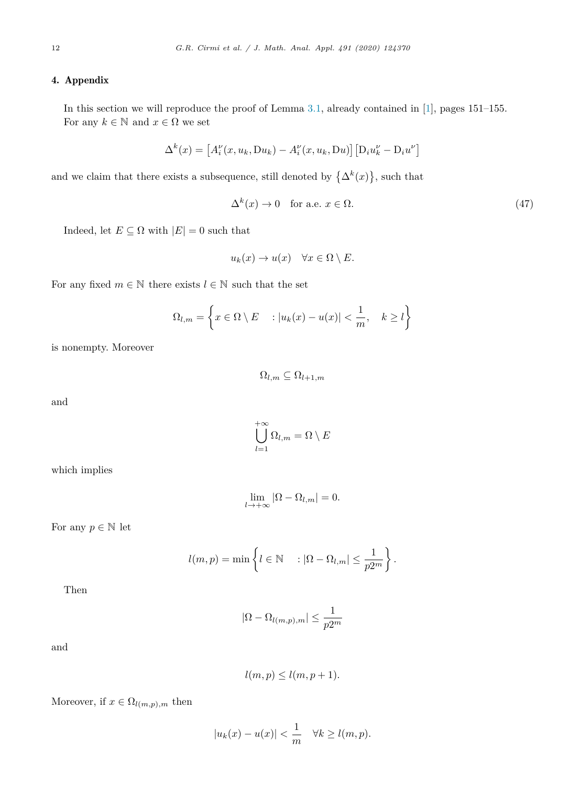# <span id="page-11-0"></span>4. Appendix

In this section we will reproduce the proof of Lemma [3.1,](#page-7-0) already contained in [[1\]](#page-14-0), pages 151–155. For any  $k \in \mathbb{N}$  and  $x \in \Omega$  we set

$$
\Delta^{k}(x) = \left[A_i^{\nu}(x, u_k, Du_k) - A_i^{\nu}(x, u_k, Du)\right] \left[D_i u_k^{\nu} - D_i u^{\nu}\right]
$$

and we claim that there exists a subsequence, still denoted by  $\{\Delta^k(x)\}\text{, such that}$ 

$$
\Delta^k(x) \to 0 \quad \text{for a.e. } x \in \Omega. \tag{47}
$$

Indeed, let  $E \subseteq \Omega$  with  $|E| = 0$  such that

$$
u_k(x) \to u(x) \quad \forall x \in \Omega \setminus E.
$$

For any fixed  $m \in \mathbb{N}$  there exists  $l \in \mathbb{N}$  such that the set

$$
\Omega_{l,m} = \left\{ x \in \Omega \setminus E \quad : |u_k(x) - u(x)| < \frac{1}{m}, \quad k \ge l \right\}
$$

is nonempty. Moreover

$$
\Omega_{l,m}\subseteq \Omega_{l+1,m}
$$

and

$$
\bigcup_{l=1}^{+\infty} \Omega_{l,m} = \Omega \setminus E
$$

 $+$ 

which implies

$$
\lim_{l \to +\infty} |\Omega - \Omega_{l,m}| = 0.
$$

For any  $p \in \mathbb{N}$  let

$$
l(m, p) = \min \left\{ l \in \mathbb{N} \ : |\Omega - \Omega_{l,m}| \leq \frac{1}{p2^m} \right\}.
$$

Then

$$
|\Omega - \Omega_{l(m,p),m}| \leq \frac{1}{p2^m}
$$

and

$$
l(m, p) \le l(m, p+1).
$$

Moreover, if  $x \in \Omega_{l(m,p),m}$  then

$$
|u_k(x) - u(x)| < \frac{1}{m} \quad \forall k \ge l(m, p).
$$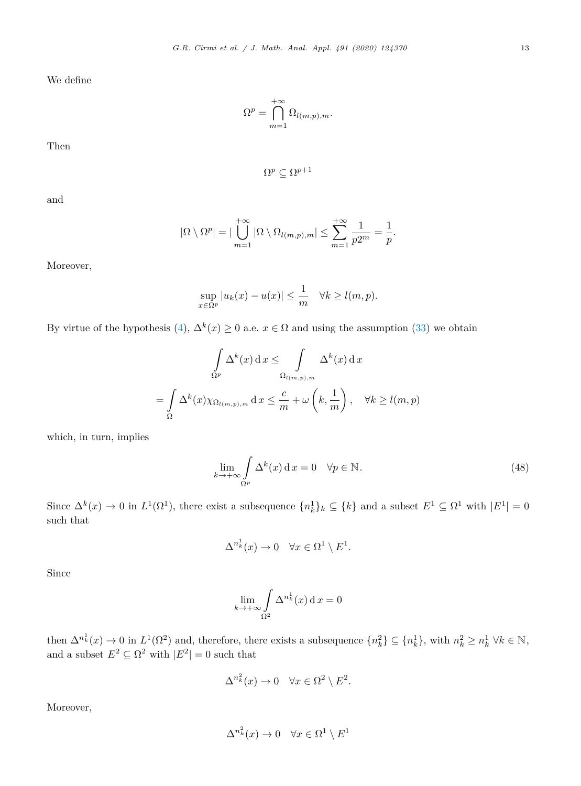We define

$$
\Omega^p = \bigcap_{m=1}^{+\infty} \Omega_{l(m,p),m}.
$$

Then

$$
\Omega^p \subseteq \Omega^{p+1}
$$

and

$$
|\Omega \setminus \Omega^p| = |\bigcup_{m=1}^{+\infty} |\Omega \setminus \Omega_{l(m,p),m}| \leq \sum_{m=1}^{+\infty} \frac{1}{p2^m} = \frac{1}{p}.
$$

Moreover,

$$
\sup_{x \in \Omega^p} |u_k(x) - u(x)| \le \frac{1}{m} \quad \forall k \ge l(m, p).
$$

By virtue of the hypothesis [\(4\)](#page-1-0),  $\Delta^k(x) \ge 0$  a.e.  $x \in \Omega$  and using the assumption [\(33](#page-7-0)) we obtain

$$
\int_{\Omega^p} \Delta^k(x) dx \leq \int_{\Omega_{l(m,p),m}} \Delta^k(x) dx
$$

$$
= \int_{\Omega} \Delta^k(x) \chi_{\Omega_{l(m,p),m}} dx \leq \frac{c}{m} + \omega \left( k, \frac{1}{m} \right), \quad \forall k \geq l(m,p)
$$

which, in turn, implies

$$
\lim_{k \to +\infty} \int_{\Omega^p} \Delta^k(x) dx = 0 \quad \forall p \in \mathbb{N}.
$$
\n(48)

Since  $\Delta^k(x) \to 0$  in  $L^1(\Omega^1)$ , there exist a subsequence  $\{n_k^1\}_k \subseteq \{k\}$  and a subset  $E^1 \subseteq \Omega^1$  with  $|E^1| = 0$ such that

$$
\Delta^{n_k^1}(x) \to 0 \quad \forall x \in \Omega^1 \setminus E^1.
$$

Since

$$
\lim_{k \to +\infty} \int \limits_{\Omega^2} \Delta^{n_k^1}(x) \, \mathrm{d}x = 0
$$

then  $\Delta^{n_k^1}(x) \to 0$  in  $L^1(\Omega^2)$  and, therefore, there exists a subsequence  $\{n_k^2\} \subseteq \{n_k^1\}$ , with  $n_k^2 \geq n_k^1 \ \forall k \in \mathbb{N}$ , and a subset  $E^2 \subseteq \Omega^2$  with  $|E^2| = 0$  such that

$$
\Delta^{n_k^2}(x) \to 0 \quad \forall x \in \Omega^2 \setminus E^2.
$$

Moreover,

$$
\Delta^{n_k^2}(x) \to 0 \quad \forall x \in \Omega^1 \setminus E^1
$$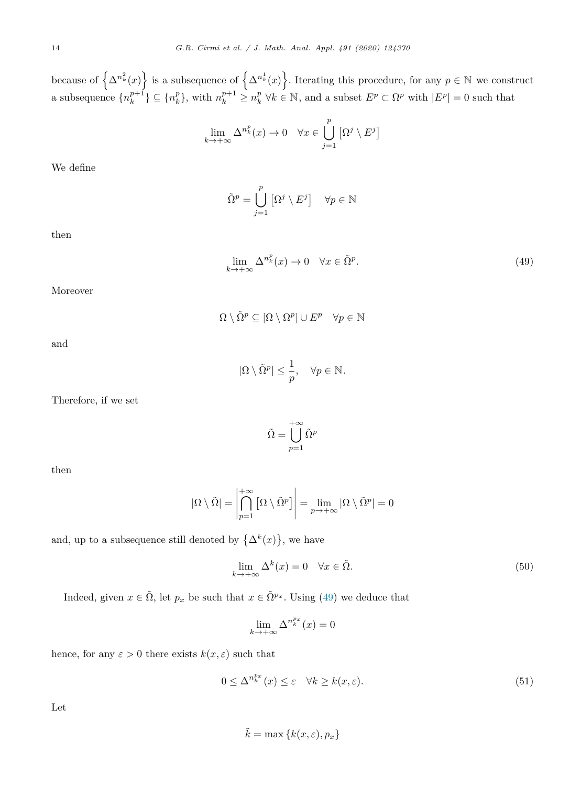<span id="page-13-0"></span>because of  $\left\{\Delta^{n_k^2}(x)\right\}$  is a subsequence of  $\left\{\Delta^{n_k^1}(x)\right\}$ . Iterating this procedure, for any  $p \in \mathbb{N}$  we construct a subsequence  $\{n_k^{p+1}\}\subseteq \{n_k^p\}$ , with  $n_k^{p+1}\geq n_k^p \forall k\in\mathbb{N}$ , and a subset  $E^p\subset \Omega^p$  with  $|E^p|=0$  such that

$$
\lim_{k \to +\infty} \Delta^{n_k^p}(x) \to 0 \quad \forall x \in \bigcup_{j=1}^p \left[ \Omega^j \setminus E^j \right]
$$

We define

$$
\tilde{\Omega}^p = \bigcup_{j=1}^p \left[ \Omega^j \setminus E^j \right] \quad \forall p \in \mathbb{N}
$$

then

$$
\lim_{k \to +\infty} \Delta^{n_k^p}(x) \to 0 \quad \forall x \in \tilde{\Omega}^p. \tag{49}
$$

Moreover

$$
\Omega \setminus \tilde{\Omega}^p \subseteq [\Omega \setminus \Omega^p] \cup E^p \quad \forall p \in \mathbb{N}
$$

and

$$
|\Omega \setminus \tilde{\Omega}^p| \le \frac{1}{p}, \quad \forall p \in \mathbb{N}.
$$

Therefore, if we set

$$
\tilde{\Omega} = \bigcup_{p=1}^{+\infty} \tilde{\Omega}^p
$$

then

$$
|\Omega \setminus \tilde{\Omega}| = \left| \bigcap_{p=1}^{+\infty} \left[ \Omega \setminus \tilde{\Omega}^p \right] \right| = \lim_{p \to +\infty} |\Omega \setminus \tilde{\Omega}^p| = 0
$$

and, up to a subsequence still denoted by  $\{\Delta^k(x)\}\,$ , we have

$$
\lim_{k \to +\infty} \Delta^k(x) = 0 \quad \forall x \in \tilde{\Omega}.\tag{50}
$$

Indeed, given  $x \in \tilde{\Omega}$ , let  $p_x$  be such that  $x \in \tilde{\Omega}^{p_x}$ . Using (49) we deduce that

$$
\lim_{k \to +\infty} \Delta^{n_k^{p_x}}(x) = 0
$$

hence, for any  $\varepsilon > 0$  there exists  $k(x, \varepsilon)$  such that

$$
0 \le \Delta^{n_k^{p_x}}(x) \le \varepsilon \quad \forall k \ge k(x, \varepsilon). \tag{51}
$$

Let

$$
\tilde{k} = \max\left\{k(x, \varepsilon), p_x\right\}
$$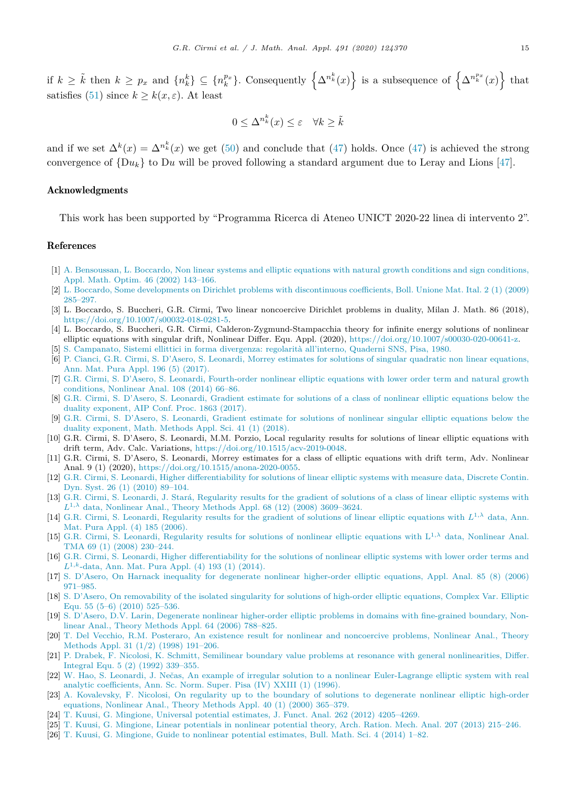<span id="page-14-0"></span>if  $k \geq \tilde{k}$  then  $k \geq p_x$  and  $\{n_k^k\} \subseteq \{n_k^{p_x}\}\$ . Consequently  $\left\{\Delta^{n_k^k}(x)\right\}$  is a subsequence of  $\left\{\Delta^{n_k^{p_x}}(x)\right\}$  that satisfies [\(51\)](#page-13-0) since  $k \geq k(x, \varepsilon)$ . At least

$$
0 \le \Delta^{n_k^k}(x) \le \varepsilon \quad \forall k \ge \tilde{k}
$$

and if we set  $\Delta^k(x) = \Delta^{n_k^k}(x)$  we get [\(50](#page-13-0)) and conclude that [\(47\)](#page-11-0) holds. Once ([47\)](#page-11-0) is achieved the strong convergence of  $\{Du_k\}$  to Du will be proved following a standard argument due to Leray and Lions [\[47](#page-15-0)].

#### Acknowledgments

This work has been supported by "Programma Ricerca di Ateneo UNICT 2020-22 linea di intervento 2".

### References

- [1] A. [Bensoussan,](http://refhub.elsevier.com/S0022-247X(20)30532-1/bib9D3D9048DB16A7EEE539E93E3618CBE7s1) L. Boccardo, Non linear systems and elliptic equations with natural growth conditions and sign conditions, Appl. Math. Optim. 46 (2002) [143–166.](http://refhub.elsevier.com/S0022-247X(20)30532-1/bib9D3D9048DB16A7EEE539E93E3618CBE7s1)
- [2] L. Boccardo, Some developments on Dirichlet problems with [discontinuous](http://refhub.elsevier.com/S0022-247X(20)30532-1/bib7B60A39FC2A49BBAC1B3426ABB5ADA4Bs1) coefficients, Boll. Unione Mat. Ital. 2 (1) (2009) [285–297.](http://refhub.elsevier.com/S0022-247X(20)30532-1/bib7B60A39FC2A49BBAC1B3426ABB5ADA4Bs1)
- [3] L. Boccardo, S. Buccheri, G.R. Cirmi, Two linear noncoercive Dirichlet problems in duality, Milan J. Math. 86 (2018), <https://doi.org/10.1007/s00032-018-0281-5>.
- [4] L. Boccardo, S. Buccheri, G.R. Cirmi, Calderon-Zygmund-Stampacchia theory for infinite energy solutions of nonlinear elliptic equations with singular drift, Nonlinear Differ. Equ. Appl. (2020), <https://doi.org/10.1007/s00030-020-00641-z>.
- [5] S. [Campanato,](http://refhub.elsevier.com/S0022-247X(20)30532-1/bib3E8D115EB4B32B9E9479F387DBE14EE1s1) Sistemi ellittici in forma divergenza: regolarità all'interno, Quaderni SNS, Pisa, 1980.
- [6] P. Cianci, G.R. Cirmi, S. D'Asero, S. Leonardi, Morrey estimates for solutions of singular quadratic non linear [equations,](http://refhub.elsevier.com/S0022-247X(20)30532-1/bib9A0FCE3DF2FB4AF30C399A7F3C006ADCs1) Ann. Mat. Pura Appl. [196 \(5\)](http://refhub.elsevier.com/S0022-247X(20)30532-1/bib9A0FCE3DF2FB4AF30C399A7F3C006ADCs1) (2017).
- [7] G.R. Cirmi, S. D'Asero, S. Leonardi, [Fourth-order](http://refhub.elsevier.com/S0022-247X(20)30532-1/bib9CA2B293ED357E2CFC54A11F8E7B5E37s1) nonlinear elliptic equations with lower order term and natural growth [conditions,](http://refhub.elsevier.com/S0022-247X(20)30532-1/bib9CA2B293ED357E2CFC54A11F8E7B5E37s1) Nonlinear Anal. 108 (2014) 66–86.
- [8] G.R. Cirmi, S. D'Asero, S. Leonardi, Gradient estimate for solutions of a class of nonlinear elliptic [equations](http://refhub.elsevier.com/S0022-247X(20)30532-1/bibABC31DC07D45632498B023930B8D6507s1) below the duality [exponent,](http://refhub.elsevier.com/S0022-247X(20)30532-1/bibABC31DC07D45632498B023930B8D6507s1) AIP Conf. Proc. 1863 (2017).
- [9] G.R. Cirmi, S. D'Asero, S. Leonardi, Gradient estimate for solutions of nonlinear singular elliptic [equations](http://refhub.elsevier.com/S0022-247X(20)30532-1/bib203FE40465558D1BF27B9328C74D7B8Es1) below the duality [exponent,](http://refhub.elsevier.com/S0022-247X(20)30532-1/bib203FE40465558D1BF27B9328C74D7B8Es1) Math. Methods Appl. Sci. 41 (1) (2018).
- [10] G.R. Cirmi, S. D'Asero, S. Leonardi, M.M. Porzio, Local regularity results for solutions of linear elliptic equations with drift term, Adv. Calc. Variations, <https://doi.org/10.1515/acv-2019-0048>.
- [11] G.R. Cirmi, S. D'Asero, S. Leonardi, Morrey estimates for a class of elliptic equations with drift term, Adv. Nonlinear Anal. 9 (1) (2020), <https://doi.org/10.1515/anona-2020-0055>.
- [12] G.R. Cirmi, S. Leonardi, Higher [differentiability](http://refhub.elsevier.com/S0022-247X(20)30532-1/bib826EE7824F588BC0E2309ED0066D7CBCs1) for solutions of linear elliptic systems with measure data, Discrete Contin. Dyn. Syst. 26 (1) (2010) [89–104.](http://refhub.elsevier.com/S0022-247X(20)30532-1/bib826EE7824F588BC0E2309ED0066D7CBCs1)
- [13] G.R. Cirmi, S. Leonardi, J. Stará, [Regularity](http://refhub.elsevier.com/S0022-247X(20)30532-1/bib24CCED45949F87B6967226CE7BF4A96Es1) results for the gradient of solutions of a class of linear elliptic systems with *L*1*,λ* data, Nonlinear Anal., Theory Methods Appl. 68 (12) (2008) [3609–3624.](http://refhub.elsevier.com/S0022-247X(20)30532-1/bib24CCED45949F87B6967226CE7BF4A96Es1)
- [14] G.R. Cirmi, S. Leonardi, [Regularity](http://refhub.elsevier.com/S0022-247X(20)30532-1/bibD6165CAA490EDDCAC86D1A33AD865D7Ds1) results for the gradient of solutions of linear elliptic equations with *L*1*,λ* data, Ann. Mat. Pura Appl. (4) 185 [\(2006\).](http://refhub.elsevier.com/S0022-247X(20)30532-1/bibD6165CAA490EDDCAC86D1A33AD865D7Ds1)
- [15] G.R. Cirmi, S. Leonardi, [Regularity](http://refhub.elsevier.com/S0022-247X(20)30532-1/bibAE8814FC7FF383D7A7EB7DE4F5CFFDEAs1) results for solutions of nonlinear elliptic equations with L<sup>1</sup>*,λ* data, Nonlinear Anal. TMA 69 (1) (2008) [230–244.](http://refhub.elsevier.com/S0022-247X(20)30532-1/bibAE8814FC7FF383D7A7EB7DE4F5CFFDEAs1)
- [16] G.R. Cirmi, S. Leonardi, Higher [differentiability](http://refhub.elsevier.com/S0022-247X(20)30532-1/bib09DF31C168639D2409858FAD672274FAs1) for the solutions of nonlinear elliptic systems with lower order terms and *L*<sup>1</sup>*,k*-data, Ann. Mat. Pura Appl. (4) [193 \(1\)](http://refhub.elsevier.com/S0022-247X(20)30532-1/bib09DF31C168639D2409858FAD672274FAs1) (2014).
- [17] S. D'Asero, On Harnack inequality for degenerate nonlinear [higher-order](http://refhub.elsevier.com/S0022-247X(20)30532-1/bib0672903E039EA6FD7A2C65C958A6EDFBs1) elliptic equations, Appl. Anal. 85 (8) (2006) [971–985.](http://refhub.elsevier.com/S0022-247X(20)30532-1/bib0672903E039EA6FD7A2C65C958A6EDFBs1)
- [18] S. D'Asero, On [removability](http://refhub.elsevier.com/S0022-247X(20)30532-1/bib6D90CA60310EDB48716F51EFEBAE9544s1) of the isolated singularity for solutions of high-order elliptic equations, Complex Var. Elliptic Equ. 55 (5–6) (2010) [525–536.](http://refhub.elsevier.com/S0022-247X(20)30532-1/bib6D90CA60310EDB48716F51EFEBAE9544s1)
- [19] S. D'Asero, D.V. Larin, Degenerate nonlinear [higher-order](http://refhub.elsevier.com/S0022-247X(20)30532-1/bib2B7662D03AE574A5057DFCC51E8E0411s1) elliptic problems in domains with fine-grained boundary, Nonlinear Anal., Theory [Methods](http://refhub.elsevier.com/S0022-247X(20)30532-1/bib2B7662D03AE574A5057DFCC51E8E0411s1) Appl. 64 (2006) 788–825.
- [20] T. Del Vecchio, R.M. Posteraro, An existence result for nonlinear and [noncoercive](http://refhub.elsevier.com/S0022-247X(20)30532-1/bib3F919FA3A8651BED21CC42BB696E75D3s1) problems, Nonlinear Anal., Theory [Methods](http://refhub.elsevier.com/S0022-247X(20)30532-1/bib3F919FA3A8651BED21CC42BB696E75D3s1) Appl. 31 (1/2) (1998) 191–206.
- [21] P. Drabek, F. Nicolosi, K. Schmitt, Semilinear boundary value problems at resonance with general [nonlinearities,](http://refhub.elsevier.com/S0022-247X(20)30532-1/bib02F39E910110FFE000617406B6F2D659s1) Differ. Integral Equ. 5 (2) (1992) [339–355.](http://refhub.elsevier.com/S0022-247X(20)30532-1/bib02F39E910110FFE000617406B6F2D659s1)
- [22] W. Hao, S. Leonardi, J. Nečas, An example of irregular solution to a nonlinear [Euler-Lagrange](http://refhub.elsevier.com/S0022-247X(20)30532-1/bib8E683187A00E5D462A4AEEE69E9D3D9Cs1) elliptic system with real analytic [coefficients,](http://refhub.elsevier.com/S0022-247X(20)30532-1/bib8E683187A00E5D462A4AEEE69E9D3D9Cs1) Ann. Sc. Norm. Super. Pisa (IV) XXIII (1) (1996).
- [23] A. [Kovalevsky,](http://refhub.elsevier.com/S0022-247X(20)30532-1/bib04456320B06662629FE4D187A19BF5BDs1) F. Nicolosi, On regularity up to the boundary of solutions to degenerate nonlinear elliptic high-order [equations,](http://refhub.elsevier.com/S0022-247X(20)30532-1/bib04456320B06662629FE4D187A19BF5BDs1) Nonlinear Anal., Theory Methods Appl. 40 (1) (2000) 365–379.
- [24] T. Kuusi, G. Mingione, Universal potential estimates, J. Funct. Anal. 262 (2012) [4205–4269.](http://refhub.elsevier.com/S0022-247X(20)30532-1/bib3DE2C5DDAA10A70FAECE47A42E24A574s1)
- [25] T. Kuusi, G. [Mingione,](http://refhub.elsevier.com/S0022-247X(20)30532-1/bibC9CC12F2E7E8BB08B473952D2801392Bs1) Linear potentials in nonlinear potential theory, Arch. Ration. Mech. Anal. 207 (2013) 215–246.
- [26] T. Kuusi, G. Mingione, Guide to nonlinear potential [estimates,](http://refhub.elsevier.com/S0022-247X(20)30532-1/bibA5B5B37014AA4457357C2DD3AC1734E9s1) Bull. Math. Sci. 4 (2014) 1–82.